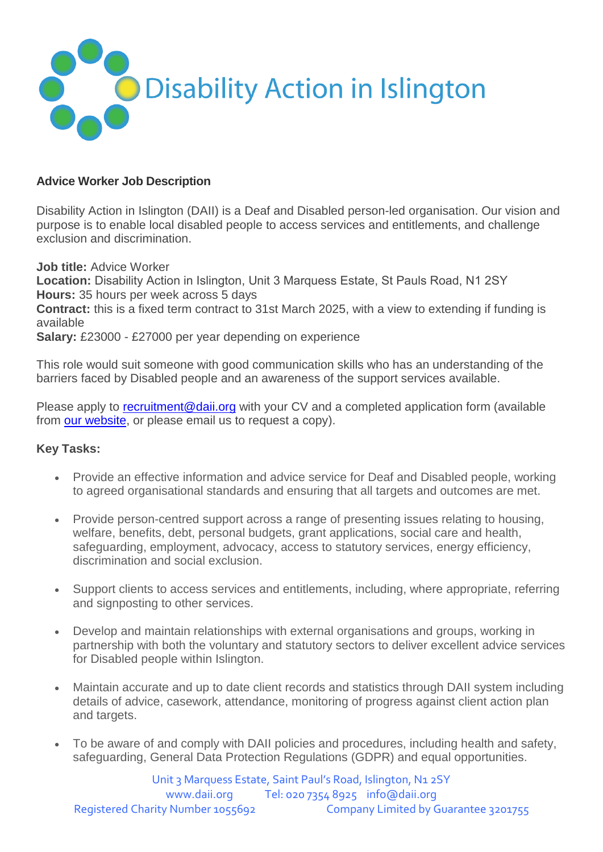

## **Advice Worker Job Description**

Disability Action in Islington (DAII) is a Deaf and Disabled person-led organisation. Our vision and purpose is to enable local disabled people to access services and entitlements, and challenge exclusion and discrimination.

**Job title:** Advice Worker

**Location:** Disability Action in Islington, Unit 3 Marquess Estate, St Pauls Road, N1 2SY  **Hours:** 35 hours per week across 5 days

**Contract:** this is a fixed term contract to 31st March 2025, with a view to extending if funding is available

**Salary:** £23000 - £27000 per year depending on experience

This role would suit someone with good communication skills who has an understanding of the barriers faced by Disabled people and an awareness of the support services available.

Please apply to [recruitment@daii.org](mailto:recruitment@daii.org) with your CV and a completed application form (available from [our website,](https://www.daii.org/vacancies) or please email us to request a copy).

## **Key Tasks:**

- Provide an effective information and advice service for Deaf and Disabled people, working to agreed organisational standards and ensuring that all targets and outcomes are met.
- Provide person-centred support across a range of presenting issues relating to housing, welfare, benefits, debt, personal budgets, grant applications, social care and health, safeguarding, employment, advocacy, access to statutory services, energy efficiency, discrimination and social exclusion.
- Support clients to access services and entitlements, including, where appropriate, referring and signposting to other services.
- Develop and maintain relationships with external organisations and groups, working in partnership with both the voluntary and statutory sectors to deliver excellent advice services for Disabled people within Islington.
- Maintain accurate and up to date client records and statistics through DAII system including details of advice, casework, attendance, monitoring of progress against client action plan and targets.
- To be aware of and comply with DAII policies and procedures, including health and safety, safeguarding, General Data Protection Regulations (GDPR) and equal opportunities.